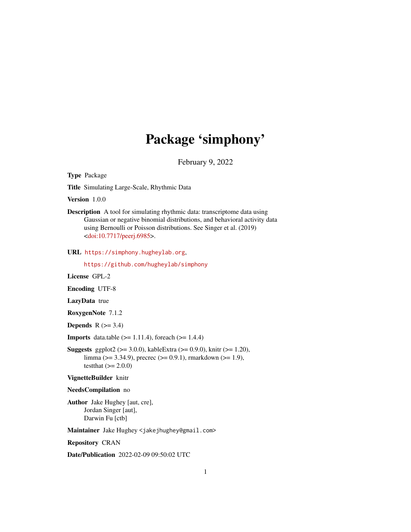## Package 'simphony'

February 9, 2022

Type Package

Title Simulating Large-Scale, Rhythmic Data

Version 1.0.0

Description A tool for simulating rhythmic data: transcriptome data using Gaussian or negative binomial distributions, and behavioral activity data using Bernoulli or Poisson distributions. See Singer et al. (2019) [<doi:10.7717/peerj.6985>](https://doi.org/10.7717/peerj.6985).

URL <https://simphony.hugheylab.org>,

<https://github.com/hugheylab/simphony>

License GPL-2

Encoding UTF-8

LazyData true

RoxygenNote 7.1.2

Depends  $R$  ( $>= 3.4$ )

**Imports** data.table  $(>= 1.11.4)$ , foreach  $(>= 1.4.4)$ 

**Suggests** ggplot2 ( $>= 3.0.0$ ), kableExtra ( $>= 0.9.0$ ), knitr ( $>= 1.20$ ), limma (>= 3.34.9), precrec (>= 0.9.1), rmarkdown (>= 1.9), testthat  $(>= 2.0.0)$ 

VignetteBuilder knitr

NeedsCompilation no

Author Jake Hughey [aut, cre], Jordan Singer [aut], Darwin Fu [ctb]

Maintainer Jake Hughey <jakejhughey@gmail.com>

Repository CRAN

Date/Publication 2022-02-09 09:50:02 UTC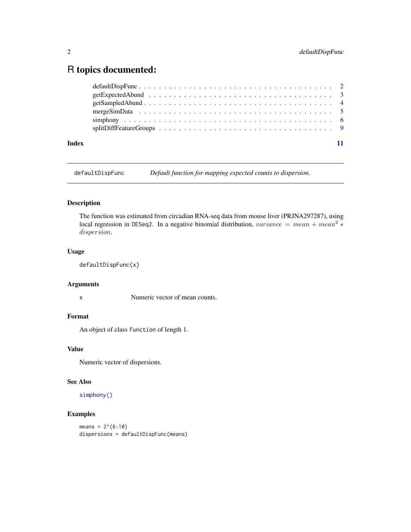### <span id="page-1-0"></span>R topics documented:

<span id="page-1-1"></span>defaultDispFunc *Default function for mapping expected counts to dispersion.*

#### Description

The function was estimated from circadian RNA-seq data from mouse liver (PRJNA297287), using local regression in DESeq2. In a negative binomial distribution, variance = mean + mean<sup>2</sup> \* dispersion.

#### Usage

```
defaultDispFunc(x)
```
#### Arguments

x Numeric vector of mean counts.

#### Format

An object of class function of length 1.

#### Value

Numeric vector of dispersions.

#### See Also

[simphony\(\)](#page-5-1)

#### Examples

 $means = 2^(6:10)$ dispersions = defaultDispFunc(means)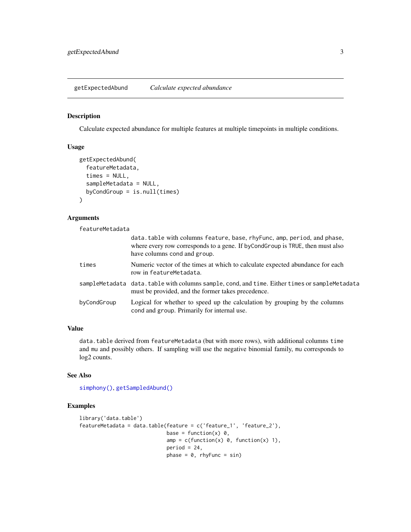<span id="page-2-1"></span><span id="page-2-0"></span>getExpectedAbund *Calculate expected abundance*

#### Description

Calculate expected abundance for multiple features at multiple timepoints in multiple conditions.

#### Usage

```
getExpectedAbund(
  featureMetadata,
  times = NULL,
  sampleMetadata = NULL,
  byCondGroup = is.null(times)
)
```
#### Arguments

featureMetadata

|             | data. table with columns feature, base, rhy Func, amp, period, and phase,<br>where every row corresponds to a gene. If byCondGroup is TRUE, then must also<br>have columns cond and group. |
|-------------|--------------------------------------------------------------------------------------------------------------------------------------------------------------------------------------------|
| times       | Numeric vector of the times at which to calculate expected abundance for each<br>row in featureMetadata.                                                                                   |
|             | sampleMetadata data.table with columns sample, cond, and time. Either times or sampleMetadata<br>must be provided, and the former takes precedence.                                        |
| byCondGroup | Logical for whether to speed up the calculation by grouping by the columns<br>cond and group. Primarily for internal use.                                                                  |

#### Value

data.table derived from featureMetadata (but with more rows), with additional columns time and mu and possibly others. If sampling will use the negative binomial family, mu corresponds to log2 counts.

#### See Also

```
simphony(), getSampledAbund()
```

```
library('data.table')
featureMetadata = data_table(feature = c('feature_1', 'feature_2'),base = function(x) 0,
                            amp = c(function(x) 0, function(x) 1),period = 24,
                            phase = 0, rhyFunc = sin)
```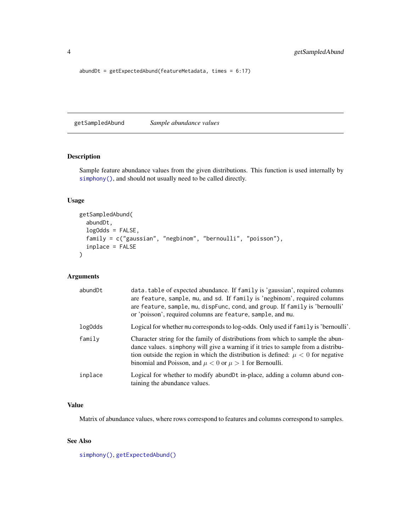```
abundDt = getExpectedAbund(featureMetadata, times = 6:17)
```
<span id="page-3-1"></span>getSampledAbund *Sample abundance values*

#### Description

Sample feature abundance values from the given distributions. This function is used internally by [simphony\(\)](#page-5-1), and should not usually need to be called directly.

#### Usage

```
getSampledAbund(
  abundDt,
  logOdds = FALSE,
  family = c("gaussian", "negbinom", "bernoulli", "poisson"),
  inplace = FALSE
\mathcal{L}
```
#### Arguments

| abundDt | data.table of expected abundance. If family is 'gaussian', required columns<br>are feature, sample, mu, and sd. If family is 'negbinom', required columns<br>are feature, sample, mu, dispFunc, cond, and group. If family is 'bernoulli'<br>or 'poisson', required columns are feature, sample, and mu.                         |
|---------|----------------------------------------------------------------------------------------------------------------------------------------------------------------------------------------------------------------------------------------------------------------------------------------------------------------------------------|
| log0dds | Logical for whether mu corresponds to log-odds. Only used if family is 'bernoulli'.                                                                                                                                                                                                                                              |
| family  | Character string for the family of distributions from which to sample the abun-<br>dance values. simploony will give a warning if it tries to sample from a distribu-<br>tion outside the region in which the distribution is defined: $\mu < 0$ for negative<br>binomial and Poisson, and $\mu < 0$ or $\mu > 1$ for Bernoulli. |
| inplace | Logical for whether to modify abundDt in-place, adding a column abund con-<br>taining the abundance values.                                                                                                                                                                                                                      |

#### Value

Matrix of abundance values, where rows correspond to features and columns correspond to samples.

#### See Also

[simphony\(\)](#page-5-1), [getExpectedAbund\(\)](#page-2-1)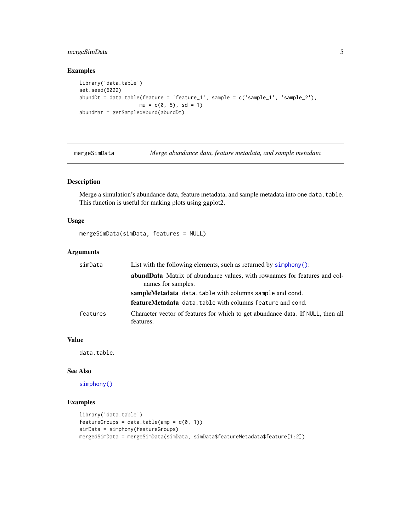#### <span id="page-4-0"></span>mergeSimData 5

#### Examples

```
library('data.table')
set.seed(6022)
abundDt = data.table(feature = 'feature_1', sample = c('sample_1', 'sample_2'),
                    mu = c(0, 5), sd = 1)abundMat = getSampledAbund(abundDt)
```
<span id="page-4-1"></span>mergeSimData *Merge abundance data, feature metadata, and sample metadata*

#### Description

Merge a simulation's abundance data, feature metadata, and sample metadata into one data.table. This function is useful for making plots using ggplot2.

#### Usage

```
mergeSimData(simData, features = NULL)
```
#### Arguments

| simData  | List with the following elements, such as returned by $simpony()$ :                                    |
|----------|--------------------------------------------------------------------------------------------------------|
|          | <b>abundData</b> Matrix of abundance values, with rownames for features and col-<br>names for samples. |
|          | sampleMetadata data.table with columns sample and cond.                                                |
|          | featureMetadata data.table with columns feature and cond.                                              |
| features | Character vector of features for which to get abundance data. If NULL, then all<br>features.           |

#### Value

data.table.

#### See Also

[simphony\(\)](#page-5-1)

```
library('data.table')
featureGroups = data.table(amp = c(\theta, 1))
simData = simphony(featureGroups)
mergedSimData = mergeSimData(simData, simData$featureMetadata$feature[1:2])
```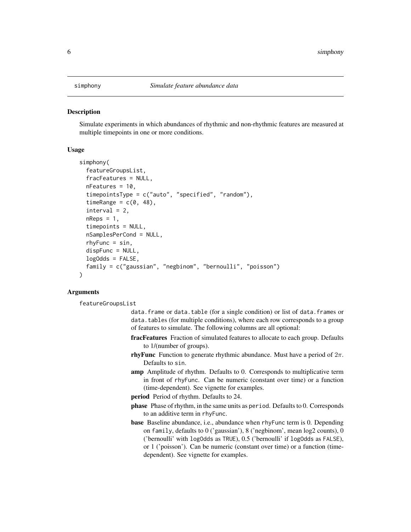<span id="page-5-1"></span><span id="page-5-0"></span>

#### **Description**

Simulate experiments in which abundances of rhythmic and non-rhythmic features are measured at multiple timepoints in one or more conditions.

#### Usage

```
simphony(
  featureGroupsList,
  fracFeatures = NULL,
  nFeatures = 10,
  timepointsType = c("auto", "specified", "random"),
  timeRange = c(\emptyset, 48),
  interval = 2,
  nReps = 1,
  timepoints = NULL,
  nSamplesPerCond = NULL,
  rhyFunc = sin,
  dispFunc = NULL,
  logOdds = FALSE,
  family = c("gaussian", "negbinom", "bernoulli", "poisson")
)
```
#### Arguments

featureGroupsList

- data.frame or data.table (for a single condition) or list of data.frames or data.tables (for multiple conditions), where each row corresponds to a group of features to simulate. The following columns are all optional:
- fracFeatures Fraction of simulated features to allocate to each group. Defaults to 1/(number of groups).
- rhyFunc Function to generate rhythmic abundance. Must have a period of  $2\pi$ . Defaults to sin.
- amp Amplitude of rhythm. Defaults to 0. Corresponds to multiplicative term in front of rhyFunc. Can be numeric (constant over time) or a function (time-dependent). See vignette for examples.
- period Period of rhythm. Defaults to 24.
- phase Phase of rhythm, in the same units as period. Defaults to 0. Corresponds to an additive term in rhyFunc.
- base Baseline abundance, i.e., abundance when rhyFunc term is 0. Depending on family, defaults to  $0$  ('gaussian'),  $8$  ('negbinom', mean log2 counts),  $0$ ('bernoulli' with logOdds as TRUE), 0.5 ('bernoulli' if logOdds as FALSE), or 1 ('poisson'). Can be numeric (constant over time) or a function (timedependent). See vignette for examples.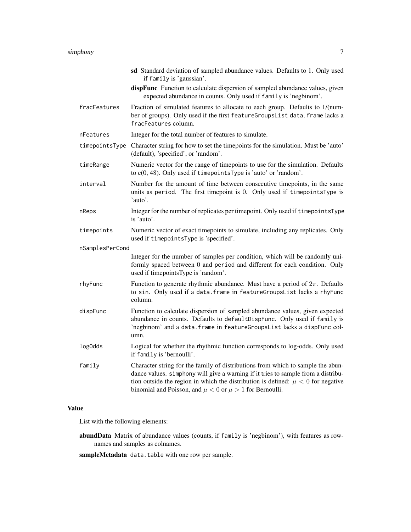#### simphony 7 and 2008 and 2008 and 2008 and 2008 and 2008 and 2008 and 2008 and 2008 and 2008 and 2008 and 2008  $\sigma$

|                 | sd Standard deviation of sampled abundance values. Defaults to 1. Only used<br>if family is 'gaussian'.                                                                                                                                                                                                                         |
|-----------------|---------------------------------------------------------------------------------------------------------------------------------------------------------------------------------------------------------------------------------------------------------------------------------------------------------------------------------|
|                 | dispFunc Function to calculate dispersion of sampled abundance values, given<br>expected abundance in counts. Only used if family is 'negbinom'.                                                                                                                                                                                |
| fracFeatures    | Fraction of simulated features to allocate to each group. Defaults to 1/(num-<br>ber of groups). Only used if the first featureGroupsList data. frame lacks a<br>fracFeatures column.                                                                                                                                           |
| nFeatures       | Integer for the total number of features to simulate.                                                                                                                                                                                                                                                                           |
| timepointsType  | Character string for how to set the timepoints for the simulation. Must be 'auto'<br>(default), 'specified', or 'random'.                                                                                                                                                                                                       |
| timeRange       | Numeric vector for the range of timepoints to use for the simulation. Defaults<br>to $c(0, 48)$ . Only used if timepoints Type is 'auto' or 'random'.                                                                                                                                                                           |
| interval        | Number for the amount of time between consecutive timepoints, in the same<br>units as period. The first timepoint is 0. Only used if timepointsType is<br>'auto'.                                                                                                                                                               |
| nReps           | Integer for the number of replicates per timepoint. Only used if timepointsType<br>is 'auto'.                                                                                                                                                                                                                                   |
| timepoints      | Numeric vector of exact timepoints to simulate, including any replicates. Only<br>used if timepointsType is 'specified'.                                                                                                                                                                                                        |
| nSamplesPerCond |                                                                                                                                                                                                                                                                                                                                 |
|                 | Integer for the number of samples per condition, which will be randomly uni-<br>formly spaced between 0 and period and different for each condition. Only<br>used if timepoints Type is 'random'.                                                                                                                               |
| rhyFunc         | Function to generate rhythmic abundance. Must have a period of $2\pi$ . Defaults<br>to sin. Only used if a data. frame in featureGroupsList lacks a rhyFunc<br>column.                                                                                                                                                          |
| dispFunc        | Function to calculate dispersion of sampled abundance values, given expected<br>abundance in counts. Defaults to defaultDispFunc. Only used if family is<br>'negbinom' and a data. frame in featureGroupsList lacks a dispFunc col-<br>umn.                                                                                     |
| log0dds         | Logical for whether the rhythmic function corresponds to log-odds. Only used<br>if family is 'bernoulli'.                                                                                                                                                                                                                       |
| family          | Character string for the family of distributions from which to sample the abun-<br>dance values. simphony will give a warning if it tries to sample from a distribu-<br>tion outside the region in which the distribution is defined: $\mu < 0$ for negative<br>binomial and Poisson, and $\mu < 0$ or $\mu > 1$ for Bernoulli. |

#### Value

List with the following elements:

- abundData Matrix of abundance values (counts, if family is 'negbinom'), with features as rownames and samples as colnames.
- sampleMetadata data.table with one row per sample.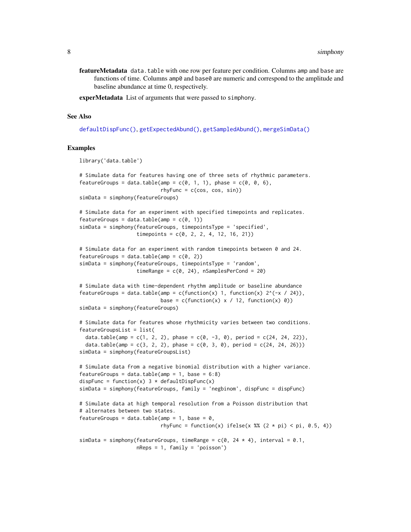- <span id="page-7-0"></span>featureMetadata data.table with one row per feature per condition. Columns amp and base are functions of time. Columns amp0 and base0 are numeric and correspond to the amplitude and baseline abundance at time 0, respectively.
- experMetadata List of arguments that were passed to simphony.

#### See Also

[defaultDispFunc\(\)](#page-1-1), [getExpectedAbund\(\)](#page-2-1), [getSampledAbund\(\)](#page-3-1), [mergeSimData\(\)](#page-4-1)

```
library('data.table')
# Simulate data for features having one of three sets of rhythmic parameters.
featureGroups = data.table(amp = c(\theta, 1, 1), phase = c(\theta, \theta, 6),
                           rhyFunc = c(cos, cos, sin)simData = simphony(featureGroups)
# Simulate data for an experiment with specified timepoints and replicates.
featureGroups = data.table(amp = c(\theta, 1))
simData = simphony(featureGroups, timepointsType = 'specified',
                   timepoints = c(0, 2, 2, 4, 12, 16, 21))
# Simulate data for an experiment with random timepoints between 0 and 24.
featureGroups = data.table(amp = c(\theta, 2))
simData = simphony(featureGroups, timepointsType = 'random',
                   timeRange = c(0, 24), nSamplesPerCond = 20)
# Simulate data with time-dependent rhythm amplitude or baseline abundance
featureGroups = data.table(amp = c(function(x) 1, function(x) 2^(-x / 24)),base = c(function(x) \times / 12, function(x) 0)simData = simphony(featureGroups)
# Simulate data for features whose rhythmicity varies between two conditions.
featureGroupsList = list(
 data.table(amp = c(1, 2, 2), phase = c(0, -3, 0), period = c(24, 24, 22)),
 data.table(amp = c(3, 2, 2), phase = c(0, 3, 0), period = c(24, 24, 26)))
simData = simphony(featureGroupsList)
# Simulate data from a negative binomial distribution with a higher variance.
featureGroups = data.table(amp = 1, base = 6:8)
dispFunc = function(x) 3 * defaultDispFunc(x)
simData = simphony(featureGroups, family = 'negbinom', dispFunc = dispFunc)
# Simulate data at high temporal resolution from a Poisson distribution that
# alternates between two states.
featureGroups = data.table(amp = 1, base = 0,
                           rhyFunc = function(x) ifelse(x %% (2 * pi) < pi, 0.5, 4))
simData = simphony(featureGroups, timeRange = c(0, 24 * 4), interval = 0.1,
                   nReps = 1, family = 'poisson')
```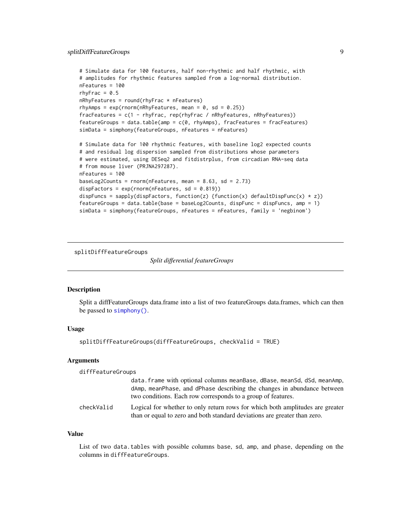```
# Simulate data for 100 features, half non-rhythmic and half rhythmic, with
# amplitudes for rhythmic features sampled from a log-normal distribution.
nFeatures = 100
rhyFrac = 0.5nRhyFeatures = round(rhyFrac * nFeatures)rhyAmps = exp(rnorm(nRhyFeatures, mean = 0, sd = 0.25))fracFeatures = c(1 - rhyFrac, rep(rhyFrac / nRhyFeatures, nRhyFeatures))
features = data_table(am = c(0, rhyAmps), fracFeatures = fracFeatures)simData = simphony(featureGroups, nFeatures = nFeatures)
# Simulate data for 100 rhythmic features, with baseline log2 expected counts
# and residual log dispersion sampled from distributions whose parameters
# were estimated, using DESeq2 and fitdistrplus, from circadian RNA-seq data
# from mouse liver (PRJNA297287).
nFeatures = 100
baseLog2Counts = rnorm(nFeatures, mean = 8.63, sd = 2.73)dispFactors = exp(rnorm(nFeatures, sd = 0.819))
dispFuncs = sapply(dispFactors, function(z) {function(x) defaultDispFunc(x) * z})
featureGroups = data.table(base = baseLog2Counts, dispFunc = dispFuncs, amp = 1)
simData = simphony(featureGroups, nFeatures = nFeatures, family = 'negbinom')
```
splitDiffFeatureGroups

*Split differential featureGroups*

#### **Description**

Split a diffFeatureGroups data.frame into a list of two featureGroups data.frames, which can then be passed to [simphony\(\)](#page-5-1).

#### Usage

```
splitDiffFeatureGroups(diffFeatureGroups, checkValid = TRUE)
```
#### Arguments

diffFeatureGroups

|            | data. frame with optional columns meanBase, dBase, meanSd, dSd, meanAmp,<br>dAmp, meanPhase, and dPhase describing the changes in abundance between<br>two conditions. Each row corresponds to a group of features. |
|------------|---------------------------------------------------------------------------------------------------------------------------------------------------------------------------------------------------------------------|
| checkValid | Logical for whether to only return rows for which both amplitudes are greater<br>than or equal to zero and both standard deviations are greater than zero.                                                          |

#### Value

List of two data.tables with possible columns base, sd, amp, and phase, depending on the columns in diffFeatureGroups.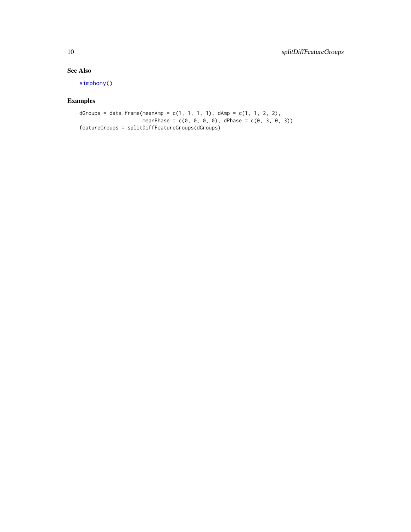#### <span id="page-9-0"></span>See Also

[simphony\(\)](#page-5-1)

```
dGroups = data.frame(meanAmp = c(1, 1, 1, 1), dAmp = c(1, 1, 2, 2),
                         meanPhase = c(\emptyset, \emptyset, \emptyset, \emptyset), dPhase = c(\emptyset, 3, 0, 3))
featureGroups = splitDiffFeatureGroups(dGroups)
```